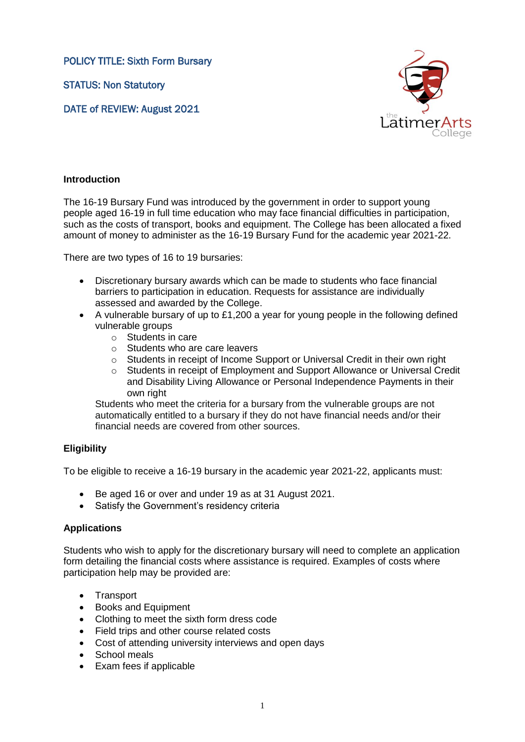POLICY TITLE: Sixth Form Bursary

STATUS: Non Statutory

DATE of REVIEW: August 2021



# **Introduction**

The 16-19 Bursary Fund was introduced by the government in order to support young people aged 16-19 in full time education who may face financial difficulties in participation, such as the costs of transport, books and equipment. The College has been allocated a fixed amount of money to administer as the 16-19 Bursary Fund for the academic year 2021-22.

There are two types of 16 to 19 bursaries:

- Discretionary bursary awards which can be made to students who face financial barriers to participation in education. Requests for assistance are individually assessed and awarded by the College.
- A vulnerable bursary of up to £1,200 a year for young people in the following defined vulnerable groups
	- o Students in care
	- o Students who are care leavers
	- o Students in receipt of Income Support or Universal Credit in their own right
	- o Students in receipt of Employment and Support Allowance or Universal Credit and Disability Living Allowance or Personal Independence Payments in their own right

Students who meet the criteria for a bursary from the vulnerable groups are not automatically entitled to a bursary if they do not have financial needs and/or their financial needs are covered from other sources.

## **Eligibility**

To be eligible to receive a 16-19 bursary in the academic year 2021-22, applicants must:

- Be aged 16 or over and under 19 as at 31 August 2021.
- Satisfy the Government's residency criteria

## **Applications**

Students who wish to apply for the discretionary bursary will need to complete an application form detailing the financial costs where assistance is required. Examples of costs where participation help may be provided are:

- Transport
- Books and Equipment
- Clothing to meet the sixth form dress code
- Field trips and other course related costs
- Cost of attending university interviews and open days
- School meals
- Exam fees if applicable